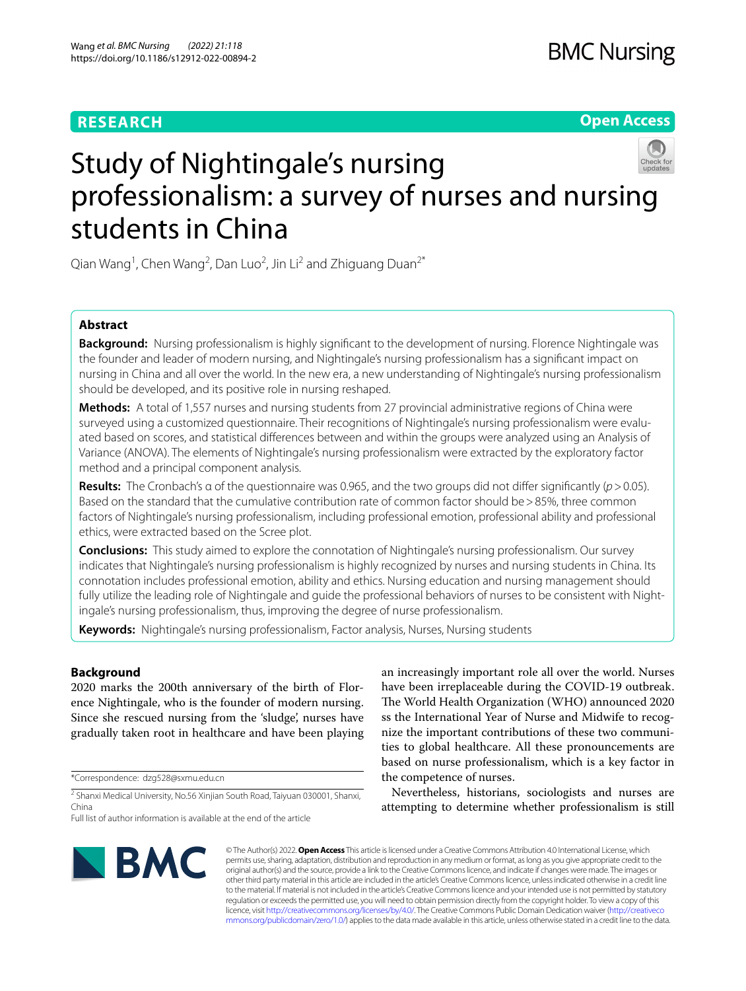# **RESEARCH**

## **Open Access**



# Study of Nightingale's nursing professionalism: a survey of nurses and nursing students in China

Qian Wang<sup>1</sup>, Chen Wang<sup>2</sup>, Dan Luo<sup>2</sup>, Jin Li<sup>2</sup> and Zhiguang Duan<sup>2\*</sup>

## **Abstract**

**Background:** Nursing professionalism is highly signifcant to the development of nursing. Florence Nightingale was the founder and leader of modern nursing, and Nightingale's nursing professionalism has a signifcant impact on nursing in China and all over the world. In the new era, a new understanding of Nightingale's nursing professionalism should be developed, and its positive role in nursing reshaped.

**Methods:** A total of 1,557 nurses and nursing students from 27 provincial administrative regions of China were surveyed using a customized questionnaire. Their recognitions of Nightingale's nursing professionalism were evaluated based on scores, and statistical diferences between and within the groups were analyzed using an Analysis of Variance (ANOVA). The elements of Nightingale's nursing professionalism were extracted by the exploratory factor method and a principal component analysis.

**Results:** The Cronbach's α of the questionnaire was 0.965, and the two groups did not difer signifcantly (*p*>0.05). Based on the standard that the cumulative contribution rate of common factor should be>85%, three common factors of Nightingale's nursing professionalism, including professional emotion, professional ability and professional ethics, were extracted based on the Scree plot.

**Conclusions:** This study aimed to explore the connotation of Nightingale's nursing professionalism. Our survey indicates that Nightingale's nursing professionalism is highly recognized by nurses and nursing students in China. Its connotation includes professional emotion, ability and ethics. Nursing education and nursing management should fully utilize the leading role of Nightingale and guide the professional behaviors of nurses to be consistent with Nightingale's nursing professionalism, thus, improving the degree of nurse professionalism.

**Keywords:** Nightingale's nursing professionalism, Factor analysis, Nurses, Nursing students

## **Background**

2020 marks the 200th anniversary of the birth of Florence Nightingale, who is the founder of modern nursing. Since she rescued nursing from the 'sludge', nurses have gradually taken root in healthcare and have been playing

\*Correspondence: dzg528@sxmu.edu.cn

<sup>2</sup> Shanxi Medical University, No.56 Xinjian South Road, Taiyuan 030001, Shanxi, China

an increasingly important role all over the world. Nurses have been irreplaceable during the COVID-19 outbreak. The World Health Organization (WHO) announced 2020 ss the International Year of Nurse and Midwife to recognize the important contributions of these two communities to global healthcare. All these pronouncements are based on nurse professionalism, which is a key factor in the competence of nurses.

Nevertheless, historians, sociologists and nurses are attempting to determine whether professionalism is still



© The Author(s) 2022. **Open Access** This article is licensed under a Creative Commons Attribution 4.0 International License, which permits use, sharing, adaptation, distribution and reproduction in any medium or format, as long as you give appropriate credit to the original author(s) and the source, provide a link to the Creative Commons licence, and indicate if changes were made. The images or other third party material in this article are included in the article's Creative Commons licence, unless indicated otherwise in a credit line to the material. If material is not included in the article's Creative Commons licence and your intended use is not permitted by statutory regulation or exceeds the permitted use, you will need to obtain permission directly from the copyright holder. To view a copy of this licence, visit [http://creativecommons.org/licenses/by/4.0/.](http://creativecommons.org/licenses/by/4.0/) The Creative Commons Public Domain Dedication waiver ([http://creativeco](http://creativecommons.org/publicdomain/zero/1.0/) [mmons.org/publicdomain/zero/1.0/](http://creativecommons.org/publicdomain/zero/1.0/)) applies to the data made available in this article, unless otherwise stated in a credit line to the data.

Full list of author information is available at the end of the article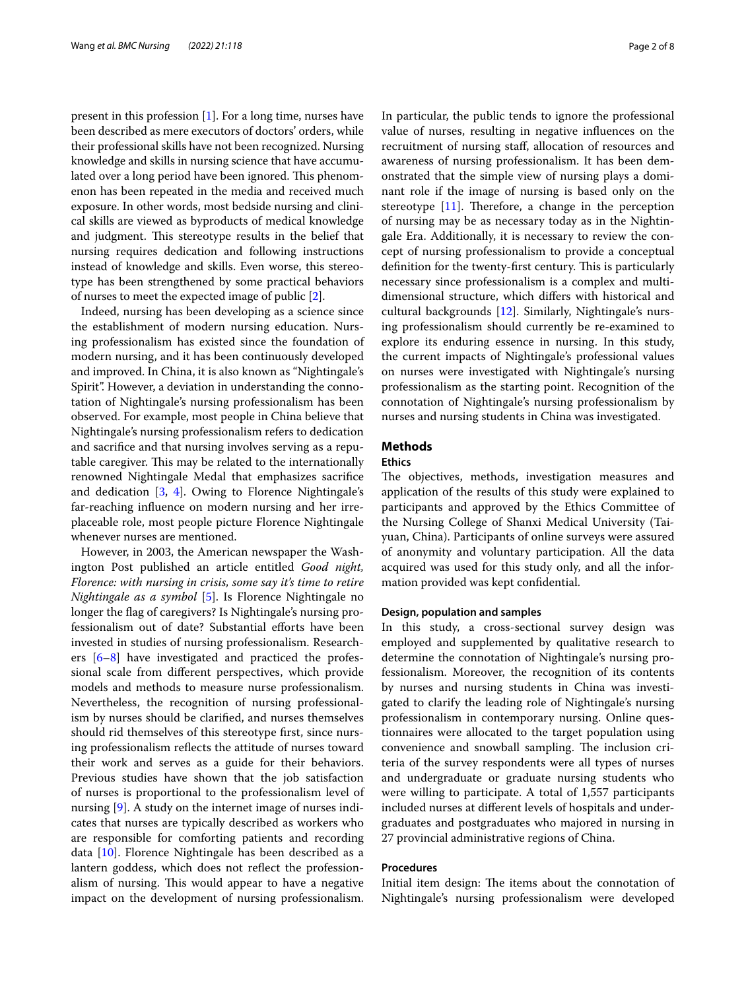present in this profession [\[1](#page-7-0)]. For a long time, nurses have been described as mere executors of doctors' orders, while their professional skills have not been recognized. Nursing knowledge and skills in nursing science that have accumulated over a long period have been ignored. This phenomenon has been repeated in the media and received much exposure. In other words, most bedside nursing and clinical skills are viewed as byproducts of medical knowledge and judgment. This stereotype results in the belief that nursing requires dedication and following instructions instead of knowledge and skills. Even worse, this stereotype has been strengthened by some practical behaviors of nurses to meet the expected image of public [[2](#page-7-1)].

Indeed, nursing has been developing as a science since the establishment of modern nursing education. Nursing professionalism has existed since the foundation of modern nursing, and it has been continuously developed and improved. In China, it is also known as "Nightingale's Spirit". However, a deviation in understanding the connotation of Nightingale's nursing professionalism has been observed. For example, most people in China believe that Nightingale's nursing professionalism refers to dedication and sacrifce and that nursing involves serving as a reputable caregiver. This may be related to the internationally renowned Nightingale Medal that emphasizes sacrifce and dedication [[3,](#page-7-2) [4](#page-7-3)]. Owing to Florence Nightingale's far-reaching infuence on modern nursing and her irreplaceable role, most people picture Florence Nightingale whenever nurses are mentioned.

However, in 2003, the American newspaper the Washington Post published an article entitled *Good night, Florence: with nursing in crisis, some say it's time to retire Nightingale as a symbol* [\[5](#page-7-4)]. Is Florence Nightingale no longer the fag of caregivers? Is Nightingale's nursing professionalism out of date? Substantial efforts have been invested in studies of nursing professionalism. Researchers  $[6-8]$  $[6-8]$  $[6-8]$  have investigated and practiced the professional scale from diferent perspectives, which provide models and methods to measure nurse professionalism. Nevertheless, the recognition of nursing professionalism by nurses should be clarifed, and nurses themselves should rid themselves of this stereotype frst, since nursing professionalism refects the attitude of nurses toward their work and serves as a guide for their behaviors. Previous studies have shown that the job satisfaction of nurses is proportional to the professionalism level of nursing [\[9](#page-7-7)]. A study on the internet image of nurses indicates that nurses are typically described as workers who are responsible for comforting patients and recording data [[10\]](#page-7-8). Florence Nightingale has been described as a lantern goddess, which does not refect the professionalism of nursing. This would appear to have a negative impact on the development of nursing professionalism.

In particular, the public tends to ignore the professional value of nurses, resulting in negative infuences on the recruitment of nursing staf, allocation of resources and awareness of nursing professionalism. It has been demonstrated that the simple view of nursing plays a dominant role if the image of nursing is based only on the stereotype  $[11]$ . Therefore, a change in the perception of nursing may be as necessary today as in the Nightingale Era. Additionally, it is necessary to review the concept of nursing professionalism to provide a conceptual definition for the twenty-first century. This is particularly necessary since professionalism is a complex and multidimensional structure, which difers with historical and cultural backgrounds [\[12](#page-7-10)]. Similarly, Nightingale's nursing professionalism should currently be re-examined to explore its enduring essence in nursing. In this study, the current impacts of Nightingale's professional values on nurses were investigated with Nightingale's nursing professionalism as the starting point. Recognition of the connotation of Nightingale's nursing professionalism by nurses and nursing students in China was investigated.

## **Methods**

## **Ethics**

The objectives, methods, investigation measures and application of the results of this study were explained to participants and approved by the Ethics Committee of the Nursing College of Shanxi Medical University (Taiyuan, China). Participants of online surveys were assured of anonymity and voluntary participation. All the data acquired was used for this study only, and all the information provided was kept confdential.

## **Design, population and samples**

In this study, a cross-sectional survey design was employed and supplemented by qualitative research to determine the connotation of Nightingale's nursing professionalism. Moreover, the recognition of its contents by nurses and nursing students in China was investigated to clarify the leading role of Nightingale's nursing professionalism in contemporary nursing. Online questionnaires were allocated to the target population using convenience and snowball sampling. The inclusion criteria of the survey respondents were all types of nurses and undergraduate or graduate nursing students who were willing to participate. A total of 1,557 participants included nurses at diferent levels of hospitals and undergraduates and postgraduates who majored in nursing in 27 provincial administrative regions of China.

## **Procedures**

Initial item design: The items about the connotation of Nightingale's nursing professionalism were developed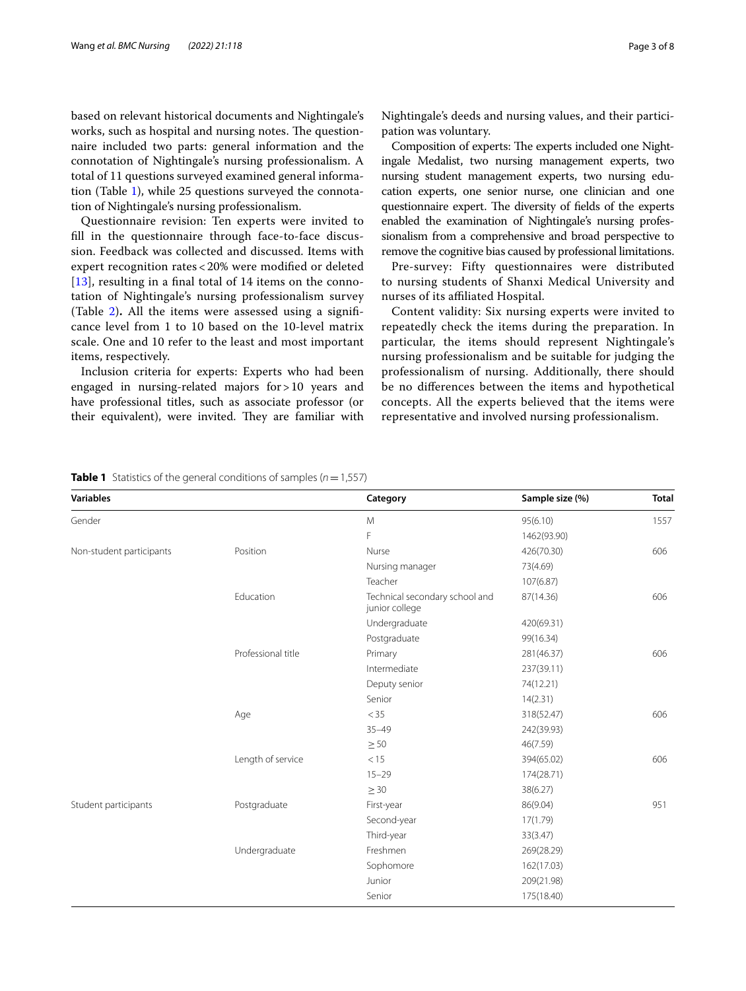based on relevant historical documents and Nightingale's works, such as hospital and nursing notes. The questionnaire included two parts: general information and the connotation of Nightingale's nursing professionalism. A total of 11 questions surveyed examined general information (Table [1\)](#page-2-0), while 25 questions surveyed the connotation of Nightingale's nursing professionalism.

Questionnaire revision: Ten experts were invited to fll in the questionnaire through face-to-face discussion. Feedback was collected and discussed. Items with expert recognition rates < 20% were modifed or deleted [[13](#page-7-11)], resulting in a final total of 14 items on the connotation of Nightingale's nursing professionalism survey (Table [2](#page-3-0))**.** All the items were assessed using a signifcance level from 1 to 10 based on the 10-level matrix scale. One and 10 refer to the least and most important items, respectively.

Inclusion criteria for experts: Experts who had been engaged in nursing-related majors for>10 years and have professional titles, such as associate professor (or their equivalent), were invited. They are familiar with

Composition of experts: The experts included one Nightingale Medalist, two nursing management experts, two nursing student management experts, two nursing education experts, one senior nurse, one clinician and one questionnaire expert. The diversity of fields of the experts enabled the examination of Nightingale's nursing professionalism from a comprehensive and broad perspective to remove the cognitive bias caused by professional limitations.

Pre-survey: Fifty questionnaires were distributed to nursing students of Shanxi Medical University and nurses of its afliated Hospital.

Content validity: Six nursing experts were invited to repeatedly check the items during the preparation. In particular, the items should represent Nightingale's nursing professionalism and be suitable for judging the professionalism of nursing. Additionally, there should be no diferences between the items and hypothetical concepts. All the experts believed that the items were representative and involved nursing professionalism.

<span id="page-2-0"></span>**Table 1** Statistics of the general conditions of samples (*n*=1,557)

| <b>Variables</b>         |                    | Category                                         | Sample size (%) | <b>Total</b> |
|--------------------------|--------------------|--------------------------------------------------|-----------------|--------------|
| Gender                   |                    | M                                                | 95(6.10)        | 1557         |
|                          |                    | F                                                | 1462(93.90)     |              |
| Non-student participants | Position           | Nurse                                            | 426(70.30)      | 606          |
|                          |                    | Nursing manager                                  | 73(4.69)        |              |
|                          |                    | Teacher                                          | 107(6.87)       |              |
|                          | Education          | Technical secondary school and<br>junior college | 87(14.36)       | 606          |
|                          |                    | Undergraduate                                    | 420(69.31)      |              |
|                          |                    | Postgraduate                                     | 99(16.34)       |              |
|                          | Professional title | Primary                                          | 281(46.37)      | 606          |
|                          |                    | Intermediate                                     | 237(39.11)      |              |
|                          |                    | Deputy senior                                    | 74(12.21)       |              |
|                          |                    | Senior                                           | 14(2.31)        |              |
|                          | Age                | $<$ 35                                           | 318(52.47)      | 606          |
|                          |                    | $35 - 49$                                        | 242(39.93)      |              |
|                          |                    | $\geq 50$                                        | 46(7.59)        |              |
|                          | Length of service  | < 15                                             | 394(65.02)      | 606          |
|                          |                    | $15 - 29$                                        | 174(28.71)      |              |
|                          |                    | $\geq$ 30                                        | 38(6.27)        |              |
| Student participants     | Postgraduate       | First-year                                       | 86(9.04)        | 951          |
|                          |                    | Second-year                                      | 17(1.79)        |              |
|                          |                    | Third-year                                       | 33(3.47)        |              |
|                          | Undergraduate      | Freshmen                                         | 269(28.29)      |              |
|                          |                    | Sophomore                                        | 162(17.03)      |              |
|                          |                    | Junior                                           | 209(21.98)      |              |
|                          |                    | Senior                                           | 175(18.40)      |              |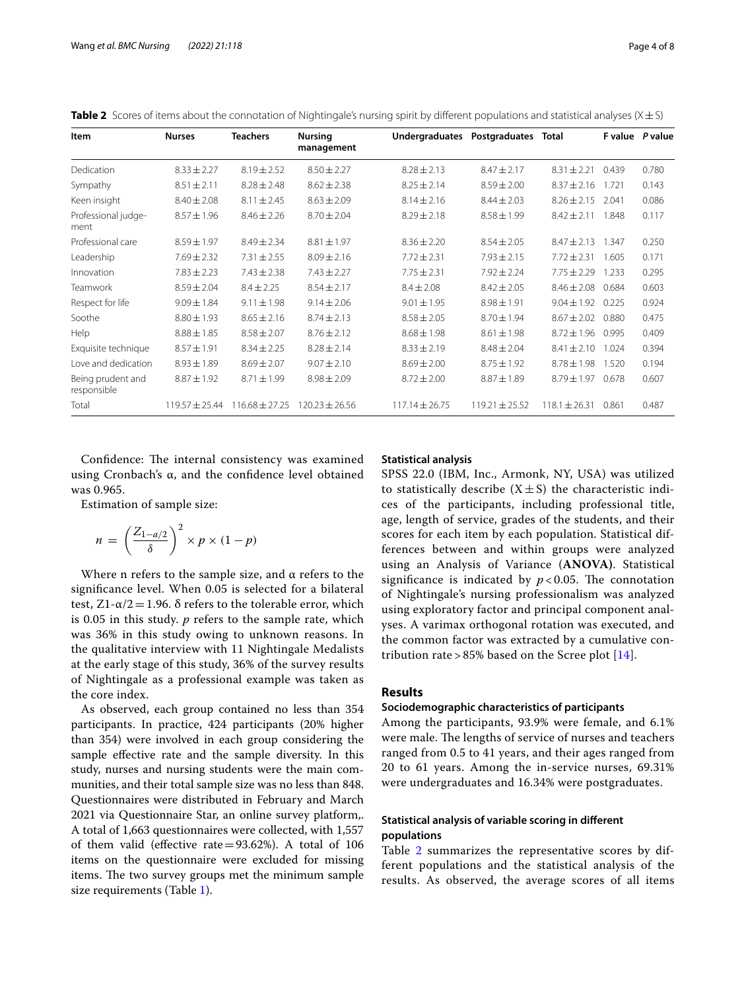<span id="page-3-0"></span>**Table 2** Scores of items about the connotation of Nightingale's nursing spirit by different populations and statistical analyses (X ± S)

| Item                             | <b>Nurses</b>      | <b>Teachers</b>    | <b>Nursing</b><br>management | Undergraduates     | Postgraduates      | <b>Total</b>      |       | F value P value |
|----------------------------------|--------------------|--------------------|------------------------------|--------------------|--------------------|-------------------|-------|-----------------|
| Dedication                       | $8.33 \pm 2.27$    | $8.19 \pm 2.52$    | $8.50 \pm 2.27$              | $8.28 \pm 2.13$    | $8.47 \pm 2.17$    | $8.31 \pm 2.21$   | 0.439 | 0.780           |
| Sympathy                         | $8.51 \pm 2.11$    | $8.28 \pm 2.48$    | $8.62 \pm 2.38$              | $8.25 \pm 2.14$    | $8.59 \pm 2.00$    | $8.37 \pm 2.16$   | 1.721 | 0.143           |
| Keen insight                     | $8.40 \pm 2.08$    | $8.11 \pm 2.45$    | $8.63 \pm 2.09$              | $8.14 \pm 2.16$    | $8.44 \pm 2.03$    | $8.26 \pm 2.15$   | 2.041 | 0.086           |
| Professional judge-<br>ment      | $8.57 \pm 1.96$    | $8.46 \pm 2.26$    | $8.70 \pm 2.04$              | $8.29 \pm 2.18$    | $8.58 \pm 1.99$    | $8.42 \pm 2.11$   | 1.848 | 0.117           |
| Professional care                | $8.59 \pm 1.97$    | $8.49 \pm 2.34$    | $8.81 \pm 1.97$              | $8.36 \pm 2.20$    | $8.54 \pm 2.05$    | $8.47 \pm 2.13$   | 1.347 | 0.250           |
| Leadership                       | $7.69 \pm 2.32$    | $7.31 \pm 2.55$    | $8.09 \pm 2.16$              | $7.72 \pm 2.31$    | $7.93 \pm 2.15$    | $7.72 \pm 2.31$   | 1.605 | 0.171           |
| Innovation                       | $7.83 \pm 2.23$    | $7.43 \pm 2.38$    | $7.43 \pm 2.27$              | $7.75 \pm 2.31$    | $7.92 \pm 2.24$    | $7.75 \pm 2.29$   | 1.233 | 0.295           |
| Teamwork                         | $8.59 \pm 2.04$    | $8.4 \pm 2.25$     | $8.54 \pm 2.17$              | $8.4 \pm 2.08$     | $8.42 \pm 2.05$    | $8.46 \pm 2.08$   | 0.684 | 0.603           |
| Respect for life                 | $9.09 \pm 1.84$    | $9.11 \pm 1.98$    | $9.14 \pm 2.06$              | $9.01 \pm 1.95$    | $8.98 \pm 1.91$    | $9.04 \pm 1.92$   | 0.225 | 0.924           |
| Soothe                           | $8.80 \pm 1.93$    | $8.65 \pm 2.16$    | $8.74 \pm 2.13$              | $8.58 \pm 2.05$    | $8.70 \pm 1.94$    | $8.67 \pm 2.02$   | 0.880 | 0.475           |
| Help                             | $8.88 \pm 1.85$    | $8.58 \pm 2.07$    | $8.76 \pm 2.12$              | $8.68 \pm 1.98$    | $8.61 \pm 1.98$    | $8.72 \pm 1.96$   | 0.995 | 0.409           |
| Exquisite technique              | $8.57 \pm 1.91$    | $8.34 \pm 2.25$    | $8.28 \pm 2.14$              | $8.33 \pm 2.19$    | $8.48 \pm 2.04$    | $8.41 \pm 2.10$   | 1.024 | 0.394           |
| Love and dedication              | $8.93 \pm 1.89$    | $8.69 \pm 2.07$    | $9.07 \pm 2.10$              | $8.69 \pm 2.00$    | $8.75 \pm 1.92$    | $8.78 \pm 1.98$   | 1.520 | 0.194           |
| Being prudent and<br>responsible | $8.87 \pm 1.92$    | $8.71 \pm 1.99$    | $8.98 \pm 2.09$              | $8.72 \pm 2.00$    | $8.87 \pm 1.89$    | $8.79 \pm 1.97$   | 0.678 | 0.607           |
| Total                            | $119.57 \pm 25.44$ | $116.68 \pm 27.25$ | $120.23 \pm 26.56$           | $117.14 \pm 26.75$ | $119.21 \pm 25.52$ | $118.1 \pm 26.31$ | 0.861 | 0.487           |

Confidence: The internal consistency was examined using Cronbach's  $α$ , and the confidence level obtained was 0.965.

Estimation of sample size:

$$
n = \left(\frac{Z_{1-a/2}}{\delta}\right)^2 \times p \times (1-p)
$$

Where n refers to the sample size, and  $\alpha$  refers to the signifcance level. When 0.05 is selected for a bilateral test, Z1-α/2 = 1.96. δ refers to the tolerable error, which is 0.05 in this study. *p* refers to the sample rate, which was 36% in this study owing to unknown reasons. In the qualitative interview with 11 Nightingale Medalists at the early stage of this study, 36% of the survey results of Nightingale as a professional example was taken as the core index.

As observed, each group contained no less than 354 participants. In practice, 424 participants (20% higher than 354) were involved in each group considering the sample efective rate and the sample diversity. In this study, nurses and nursing students were the main communities, and their total sample size was no less than 848. Questionnaires were distributed in February and March 2021 via Questionnaire Star, an online survey platform,. A total of 1,663 questionnaires were collected, with 1,557 of them valid (effective rate $=93.62%$ ). A total of 106 items on the questionnaire were excluded for missing items. The two survey groups met the minimum sample size requirements (Table [1](#page-2-0)).

## **Statistical analysis**

SPSS 22.0 (IBM, Inc., Armonk, NY, USA) was utilized to statistically describe  $(X \pm S)$  the characteristic indices of the participants, including professional title, age, length of service, grades of the students, and their scores for each item by each population. Statistical differences between and within groups were analyzed using an Analysis of Variance (**ANOVA)**. Statistical significance is indicated by  $p < 0.05$ . The connotation of Nightingale's nursing professionalism was analyzed using exploratory factor and principal component analyses. A varimax orthogonal rotation was executed, and the common factor was extracted by a cumulative contribution rate > 85% based on the Scree plot  $[14]$  $[14]$  $[14]$ .

## **Results**

#### **Sociodemographic characteristics of participants**

Among the participants, 93.9% were female, and 6.1% were male. The lengths of service of nurses and teachers ranged from 0.5 to 41 years, and their ages ranged from 20 to 61 years. Among the in-service nurses, 69.31% were undergraduates and 16.34% were postgraduates.

## **Statistical analysis of variable scoring in diferent populations**

Table [2](#page-3-0) summarizes the representative scores by different populations and the statistical analysis of the results. As observed, the average scores of all items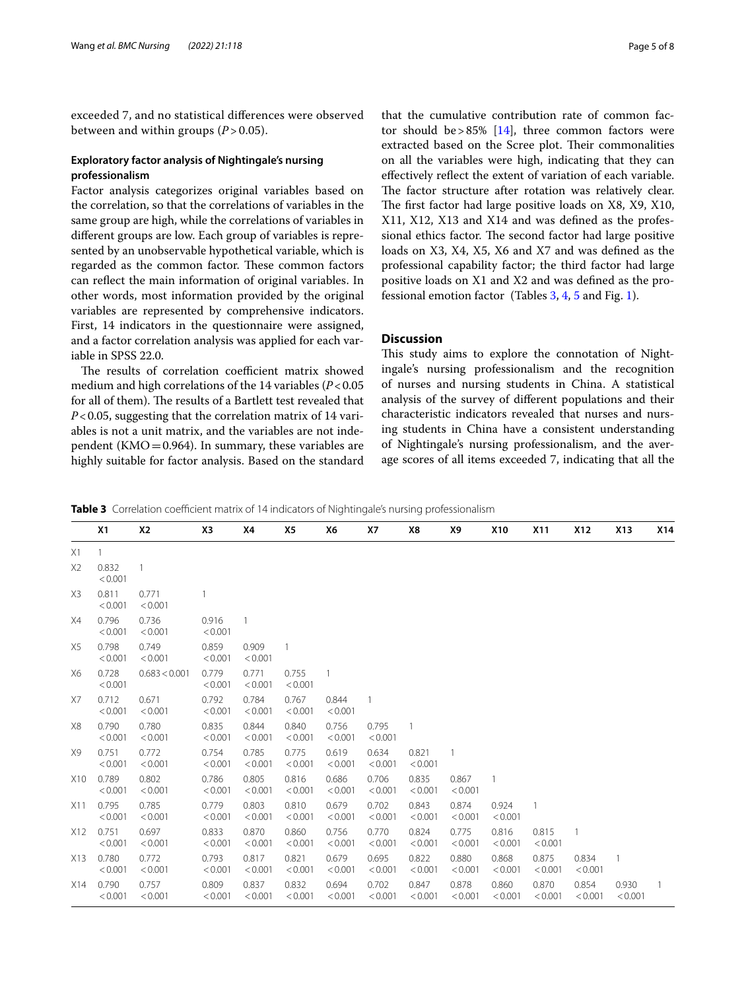exceeded 7, and no statistical diferences were observed between and within groups  $(P > 0.05)$ .

## **Exploratory factor analysis of Nightingale's nursing professionalism**

Factor analysis categorizes original variables based on the correlation, so that the correlations of variables in the same group are high, while the correlations of variables in diferent groups are low. Each group of variables is represented by an unobservable hypothetical variable, which is regarded as the common factor. These common factors can refect the main information of original variables. In other words, most information provided by the original variables are represented by comprehensive indicators. First, 14 indicators in the questionnaire were assigned, and a factor correlation analysis was applied for each variable in SPSS 22.0.

The results of correlation coefficient matrix showed medium and high correlations of the 14 variables (*P*<0.05 for all of them). The results of a Bartlett test revealed that *P*<0.05, suggesting that the correlation matrix of 14 variables is not a unit matrix, and the variables are not independent (KMO $=0.964$ ). In summary, these variables are highly suitable for factor analysis. Based on the standard

that the cumulative contribution rate of common fac-tor should be > 85% [\[14](#page-7-12)], three common factors were extracted based on the Scree plot. Their commonalities on all the variables were high, indicating that they can efectively refect the extent of variation of each variable. The factor structure after rotation was relatively clear. The first factor had large positive loads on X8, X9, X10, X11, X12, X13 and X14 and was defned as the professional ethics factor. The second factor had large positive loads on X3, X4, X5, X6 and X7 and was defned as the professional capability factor; the third factor had large positive loads on X1 and X2 and was defned as the professional emotion factor (Tables [3](#page-4-0), [4,](#page-5-0) [5](#page-5-1) and Fig. [1\)](#page-6-0).

## **Discussion**

This study aims to explore the connotation of Nightingale's nursing professionalism and the recognition of nurses and nursing students in China. A statistical analysis of the survey of diferent populations and their characteristic indicators revealed that nurses and nursing students in China have a consistent understanding of Nightingale's nursing professionalism, and the average scores of all items exceeded 7, indicating that all the

<span id="page-4-0"></span>**Table 3** Correlation coefficient matrix of 14 indicators of Nightingale's nursing professionalism

|                | <b>X1</b>        | <b>X2</b>        | X3               | X4               | X5               | Х6               | Χ7               | X8               | Χ9               | X10              | X11              | X12              | X13              | X14 |
|----------------|------------------|------------------|------------------|------------------|------------------|------------------|------------------|------------------|------------------|------------------|------------------|------------------|------------------|-----|
| X1             | $\mathbf{1}$     |                  |                  |                  |                  |                  |                  |                  |                  |                  |                  |                  |                  |     |
| X <sub>2</sub> | 0.832<br>< 0.001 |                  |                  |                  |                  |                  |                  |                  |                  |                  |                  |                  |                  |     |
| X3             | 0.811<br>< 0.001 | 0.771<br>< 0.001 | $\mathbf{1}$     |                  |                  |                  |                  |                  |                  |                  |                  |                  |                  |     |
| X4             | 0.796<br>< 0.001 | 0.736<br>< 0.001 | 0.916<br>< 0.001 |                  |                  |                  |                  |                  |                  |                  |                  |                  |                  |     |
| X5             | 0.798<br>< 0.001 | 0.749<br>< 0.001 | 0.859<br>< 0.001 | 0.909<br>< 0.001 | 1                |                  |                  |                  |                  |                  |                  |                  |                  |     |
| X6             | 0.728<br>< 0.001 | 0.683 < 0.001    | 0.779<br>< 0.001 | 0.771<br>< 0.001 | 0.755<br>< 0.001 | 1                |                  |                  |                  |                  |                  |                  |                  |     |
| X7             | 0.712<br>< 0.001 | 0.671<br>< 0.001 | 0.792<br>< 0.001 | 0.784<br>< 0.001 | 0.767<br>< 0.001 | 0.844<br>< 0.001 | 1                |                  |                  |                  |                  |                  |                  |     |
| X8             | 0.790<br>< 0.001 | 0.780<br>< 0.001 | 0.835<br>< 0.001 | 0.844<br>< 0.001 | 0.840<br>< 0.001 | 0.756<br>< 0.001 | 0.795<br>< 0.001 |                  |                  |                  |                  |                  |                  |     |
| X9             | 0.751<br>< 0.001 | 0.772<br>< 0.001 | 0.754<br>< 0.001 | 0.785<br>< 0.001 | 0.775<br>< 0.001 | 0.619<br>< 0.001 | 0.634<br>< 0.001 | 0.821<br>< 0.001 | $\mathbf{1}$     |                  |                  |                  |                  |     |
| X10            | 0.789<br>< 0.001 | 0.802<br>< 0.001 | 0.786<br>< 0.001 | 0.805<br>< 0.001 | 0.816<br>< 0.001 | 0.686<br>< 0.001 | 0.706<br>< 0.001 | 0.835<br>< 0.001 | 0.867<br>< 0.001 | $\overline{1}$   |                  |                  |                  |     |
| X11            | 0.795<br>< 0.001 | 0.785<br>< 0.001 | 0.779<br>< 0.001 | 0.803<br>< 0.001 | 0.810<br>< 0.001 | 0.679<br>< 0.001 | 0.702<br>< 0.001 | 0.843<br>< 0.001 | 0.874<br>< 0.001 | 0.924<br>< 0.001 | $\overline{1}$   |                  |                  |     |
| X12            | 0.751<br>< 0.001 | 0.697<br>< 0.001 | 0.833<br>< 0.001 | 0.870<br>< 0.001 | 0.860<br>< 0.001 | 0.756<br>< 0.001 | 0.770<br>< 0.001 | 0.824<br>< 0.001 | 0.775<br>< 0.001 | 0.816<br>< 0.001 | 0.815<br>< 0.001 |                  |                  |     |
| X13            | 0.780<br>< 0.001 | 0.772<br>< 0.001 | 0.793<br>< 0.001 | 0.817<br>< 0.001 | 0.821<br>< 0.001 | 0.679<br>< 0.001 | 0.695<br>< 0.001 | 0.822<br>< 0.001 | 0.880<br>< 0.001 | 0.868<br>< 0.001 | 0.875<br>< 0.001 | 0.834<br>< 0.001 |                  |     |
| X14            | 0.790<br>< 0.001 | 0.757<br>< 0.001 | 0.809<br>< 0.001 | 0.837<br>< 0.001 | 0.832<br>< 0.001 | 0.694<br>< 0.001 | 0.702<br>< 0.001 | 0.847<br>< 0.001 | 0.878<br>< 0.001 | 0.860<br>< 0.001 | 0.870<br>< 0.001 | 0.854<br>< 0.001 | 0.930<br>< 0.001 |     |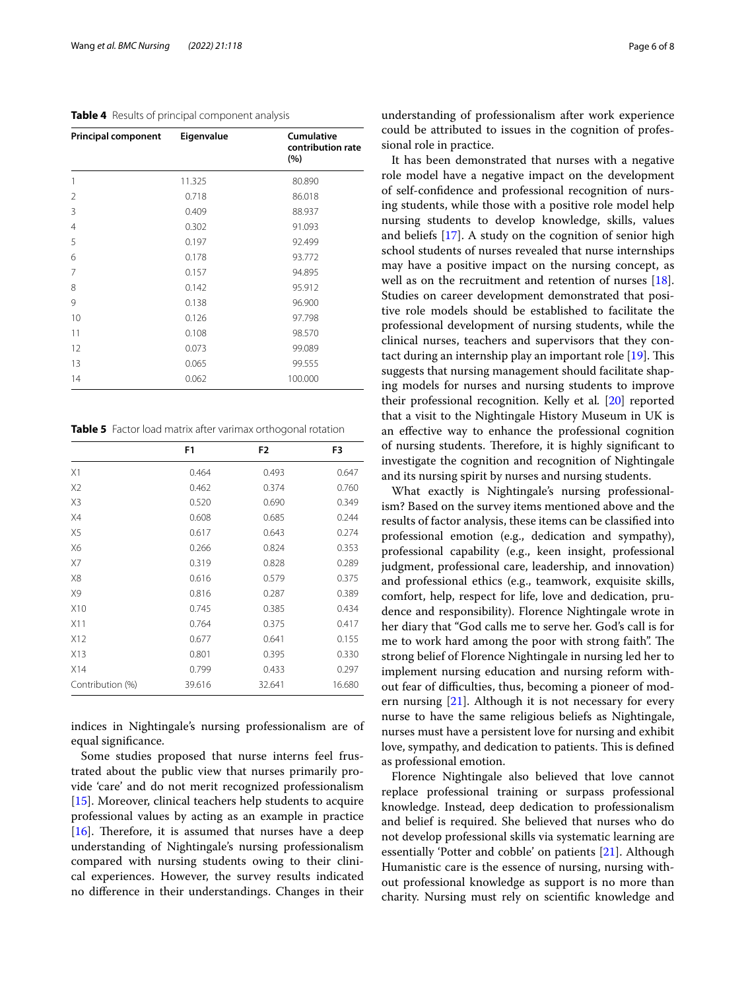## <span id="page-5-0"></span>**Table 4** Results of principal component analysis

| <b>Principal component</b> | Eigenvalue | <b>Cumulative</b><br>contribution rate<br>(%) |
|----------------------------|------------|-----------------------------------------------|
| 1                          | 11.325     | 80.890                                        |
| 2                          | 0.718      | 86.018                                        |
| 3                          | 0.409      | 88.937                                        |
| $\overline{4}$             | 0.302      | 91.093                                        |
| 5                          | 0.197      | 92.499                                        |
| 6                          | 0.178      | 93.772                                        |
| 7                          | 0.157      | 94.895                                        |
| 8                          | 0.142      | 95.912                                        |
| 9                          | 0.138      | 96.900                                        |
| 10                         | 0.126      | 97.798                                        |
| 11                         | 0.108      | 98.570                                        |
| 12                         | 0.073      | 99.089                                        |
| 13                         | 0.065      | 99.555                                        |
| 14                         | 0.062      | 100.000                                       |

<span id="page-5-1"></span>**Table 5** Factor load matrix after varimax orthogonal rotation

|                  | F <sub>1</sub> | F <sub>2</sub> | F <sub>3</sub> |
|------------------|----------------|----------------|----------------|
| X1               | 0.464          | 0.493          | 0.647          |
| X <sub>2</sub>   | 0.462          | 0.374          | 0.760          |
| X3               | 0.520          | 0.690          | 0.349          |
| X4               | 0.608          | 0.685          | 0.244          |
| X5               | 0.617          | 0.643          | 0.274          |
| X6               | 0.266          | 0.824          | 0.353          |
| X7               | 0.319          | 0.828          | 0.289          |
| X8               | 0.616          | 0.579          | 0.375          |
| X9               | 0.816          | 0.287          | 0.389          |
| X <sub>10</sub>  | 0.745          | 0.385          | 0.434          |
| X11              | 0.764          | 0.375          | 0.417          |
| X12              | 0.677          | 0.641          | 0.155          |
| X13              | 0.801          | 0.395          | 0.330          |
| X14              | 0.799          | 0.433          | 0.297          |
| Contribution (%) | 39.616         | 32.641         | 16.680         |

indices in Nightingale's nursing professionalism are of equal signifcance.

Some studies proposed that nurse interns feel frustrated about the public view that nurses primarily provide 'care' and do not merit recognized professionalism [[15\]](#page-7-13). Moreover, clinical teachers help students to acquire professional values by acting as an example in practice [[16\]](#page-7-14). Therefore, it is assumed that nurses have a deep understanding of Nightingale's nursing professionalism compared with nursing students owing to their clinical experiences. However, the survey results indicated no diference in their understandings. Changes in their understanding of professionalism after work experience could be attributed to issues in the cognition of professional role in practice.

It has been demonstrated that nurses with a negative role model have a negative impact on the development of self-confdence and professional recognition of nursing students, while those with a positive role model help nursing students to develop knowledge, skills, values and beliefs [\[17](#page-7-15)]. A study on the cognition of senior high school students of nurses revealed that nurse internships may have a positive impact on the nursing concept, as well as on the recruitment and retention of nurses [\[18](#page-7-16)]. Studies on career development demonstrated that positive role models should be established to facilitate the professional development of nursing students, while the clinical nurses, teachers and supervisors that they contact during an internship play an important role  $[19]$  $[19]$ . This suggests that nursing management should facilitate shaping models for nurses and nursing students to improve their professional recognition. Kelly et al*.* [\[20\]](#page-7-18) reported that a visit to the Nightingale History Museum in UK is an efective way to enhance the professional cognition of nursing students. Therefore, it is highly significant to investigate the cognition and recognition of Nightingale and its nursing spirit by nurses and nursing students.

What exactly is Nightingale's nursing professionalism? Based on the survey items mentioned above and the results of factor analysis, these items can be classifed into professional emotion (e.g., dedication and sympathy), professional capability (e.g., keen insight, professional judgment, professional care, leadership, and innovation) and professional ethics (e.g., teamwork, exquisite skills, comfort, help, respect for life, love and dedication, prudence and responsibility). Florence Nightingale wrote in her diary that "God calls me to serve her. God's call is for me to work hard among the poor with strong faith". The strong belief of Florence Nightingale in nursing led her to implement nursing education and nursing reform without fear of difculties, thus, becoming a pioneer of modern nursing [[21\]](#page-7-19). Although it is not necessary for every nurse to have the same religious beliefs as Nightingale, nurses must have a persistent love for nursing and exhibit love, sympathy, and dedication to patients. This is defined as professional emotion.

Florence Nightingale also believed that love cannot replace professional training or surpass professional knowledge. Instead, deep dedication to professionalism and belief is required. She believed that nurses who do not develop professional skills via systematic learning are essentially 'Potter and cobble' on patients [[21\]](#page-7-19). Although Humanistic care is the essence of nursing, nursing without professional knowledge as support is no more than charity. Nursing must rely on scientifc knowledge and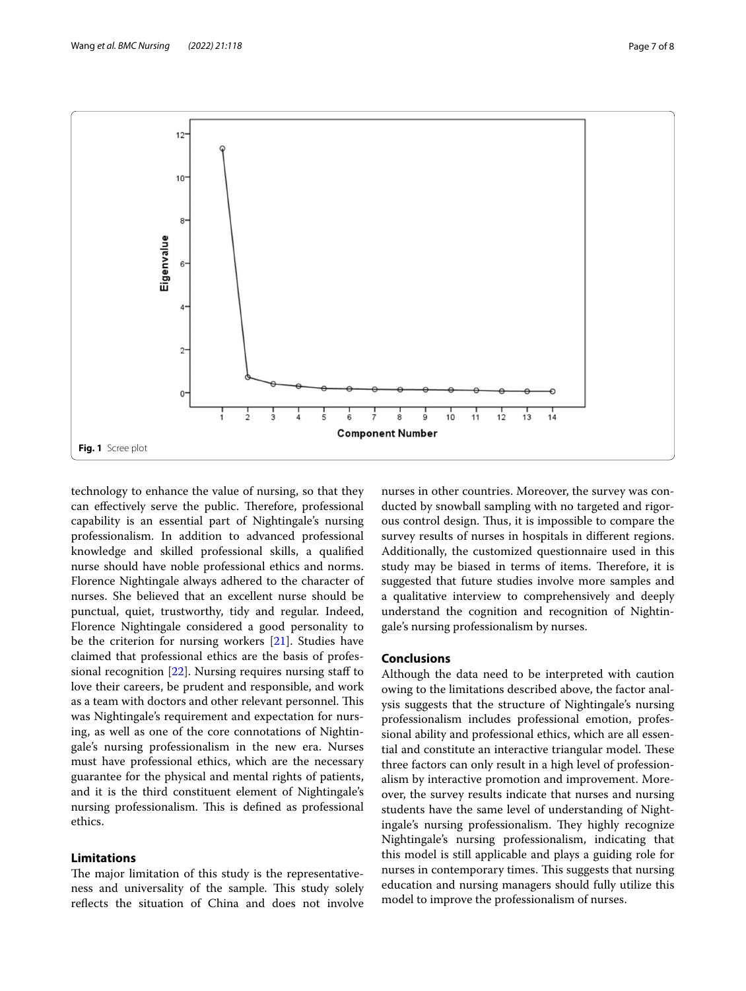

<span id="page-6-0"></span>technology to enhance the value of nursing, so that they can effectively serve the public. Therefore, professional capability is an essential part of Nightingale's nursing professionalism. In addition to advanced professional knowledge and skilled professional skills, a qualifed nurse should have noble professional ethics and norms. Florence Nightingale always adhered to the character of nurses. She believed that an excellent nurse should be punctual, quiet, trustworthy, tidy and regular. Indeed, Florence Nightingale considered a good personality to be the criterion for nursing workers [[21](#page-7-19)]. Studies have claimed that professional ethics are the basis of professional recognition [\[22\]](#page-7-20). Nursing requires nursing staf to love their careers, be prudent and responsible, and work as a team with doctors and other relevant personnel. This was Nightingale's requirement and expectation for nursing, as well as one of the core connotations of Nightingale's nursing professionalism in the new era. Nurses must have professional ethics, which are the necessary guarantee for the physical and mental rights of patients, and it is the third constituent element of Nightingale's nursing professionalism. This is defined as professional ethics.

## **Limitations**

The major limitation of this study is the representativeness and universality of the sample. This study solely refects the situation of China and does not involve nurses in other countries. Moreover, the survey was conducted by snowball sampling with no targeted and rigorous control design. Thus, it is impossible to compare the survey results of nurses in hospitals in diferent regions. Additionally, the customized questionnaire used in this study may be biased in terms of items. Therefore, it is suggested that future studies involve more samples and a qualitative interview to comprehensively and deeply understand the cognition and recognition of Nightingale's nursing professionalism by nurses.

## **Conclusions**

Although the data need to be interpreted with caution owing to the limitations described above, the factor analysis suggests that the structure of Nightingale's nursing professionalism includes professional emotion, professional ability and professional ethics, which are all essential and constitute an interactive triangular model. These three factors can only result in a high level of professionalism by interactive promotion and improvement. Moreover, the survey results indicate that nurses and nursing students have the same level of understanding of Nightingale's nursing professionalism. They highly recognize Nightingale's nursing professionalism, indicating that this model is still applicable and plays a guiding role for nurses in contemporary times. This suggests that nursing education and nursing managers should fully utilize this model to improve the professionalism of nurses.